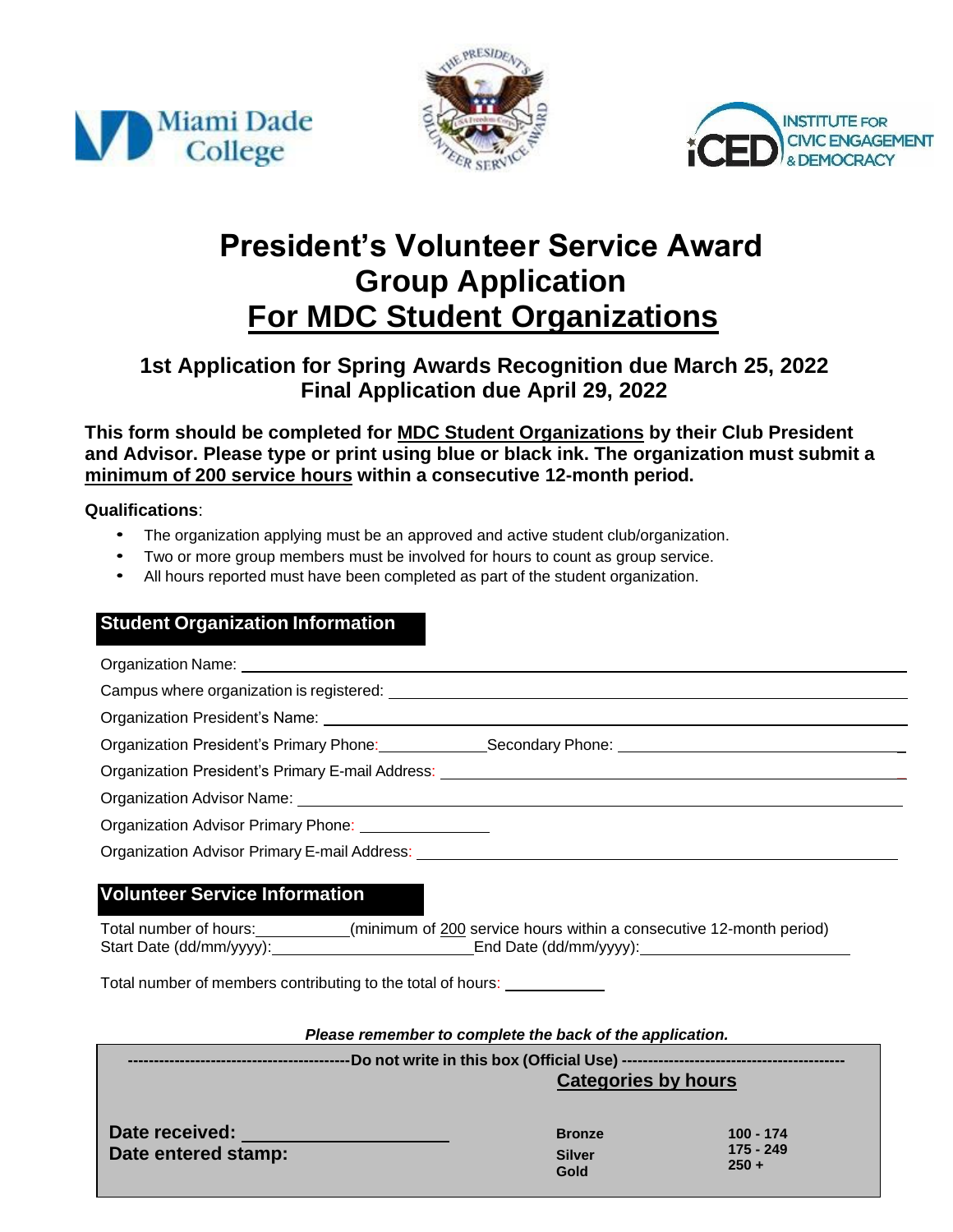





## **President's Volunteer Service Award Group Application For MDC Student Organizations**

## **1st Application for Spring Awards Recognition due March 25, 2022 Final Application due April 29, 2022**

**This form should be completed for MDC Student Organizations by their Club President and Advisor. Please type or print using blue or black ink. The organization must submit a minimum of 200 service hours within a consecutive 12-month period.**

**Qualifications**:

- The organization applying must be an approved and active student club/organization.
- Two or more group members must be involved for hours to count as group service.
- All hours reported must have been completed as part of the student organization.

## **Student Organization Information**

| Organization President's Primary Phone: Secondary Phone: ________________________                    |  |  |  |  |
|------------------------------------------------------------------------------------------------------|--|--|--|--|
|                                                                                                      |  |  |  |  |
|                                                                                                      |  |  |  |  |
| Organization Advisor Primary Phone: 2008. [19] Draganization Advisor Primary Phone:                  |  |  |  |  |
|                                                                                                      |  |  |  |  |
| <b>Volunteer Service Information</b>                                                                 |  |  |  |  |
| Total number of hours: __________(minimum of 200 service hours within a consecutive 12-month period) |  |  |  |  |
| Total number of members contributing to the total of hours:                                          |  |  |  |  |
|                                                                                                      |  |  |  |  |
| Please remember to complete the back of the application.                                             |  |  |  |  |
| <b>Categories by hours</b>                                                                           |  |  |  |  |

**Date received: Date entered stamp: Bronze Silver Gold**

**100 - 174 175 - 249 250 +**